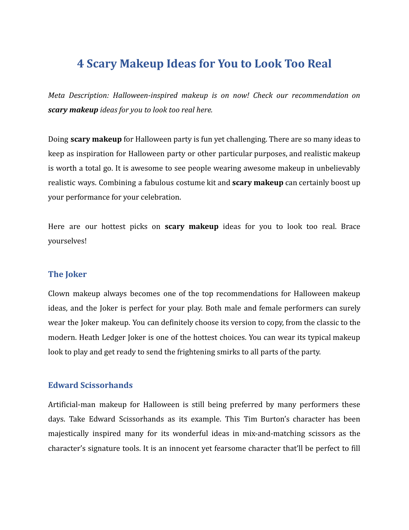# **4 Scary Makeup Ideas for You to Look Too Real**

*Meta Description: Halloween-inspired makeup is on now! Check our recommendation on scary makeup ideas for you to look too real here.*

Doing **scary makeup** for Halloween party is fun yet challenging. There are so many ideas to keep as inspiration for Halloween party or other particular purposes, and realistic makeup is worth a total go. It is awesome to see people wearing awesome makeup in unbelievably realistic ways. Combining a fabulous costume kit and **scary makeup** can certainly boost up your performance for your celebration.

Here are our hottest picks on **scary makeup** ideas for you to look too real. Brace yourselves!

#### **The Joker**

Clown makeup always becomes one of the top recommendations for Halloween makeup ideas, and the Joker is perfect for your play. Both male and female performers can surely wear the Joker makeup. You can definitely choose its version to copy, from the classic to the modern. Heath Ledger Joker is one of the hottest choices. You can wear its typical makeup look to play and get ready to send the frightening smirks to all parts of the party.

### **Edward Scissorhands**

Artificial-man makeup for Halloween is still being preferred by many performers these days. Take Edward Scissorhands as its example. This Tim Burton's character has been majestically inspired many for its wonderful ideas in mix-and-matching scissors as the character's signature tools. It is an innocent yet fearsome character that'll be perfect to fill